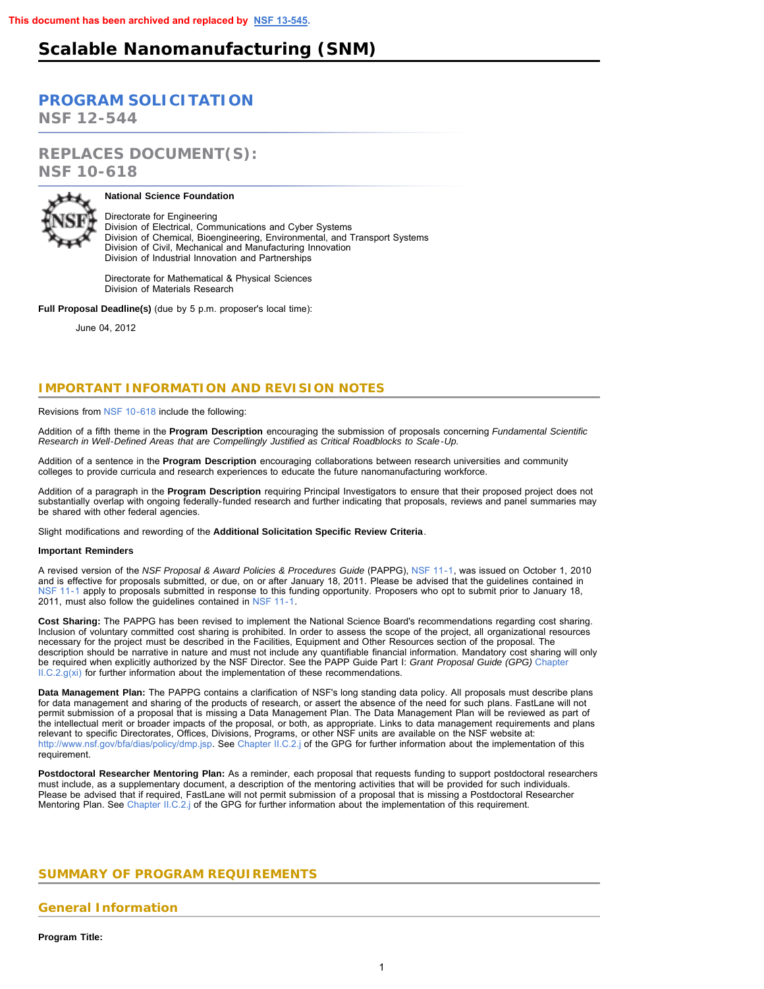# **Scalable Nanomanufacturing (SNM)**

# **[PROGRAM SOLICITATION](#page-2-0)**

**NSF 12-544**

**REPLACES DOCUMENT(S): NSF 10-618**



# **National Science Foundation**

Directorate for Engineering Division of Electrical, Communications and Cyber Systems Division of Chemical, Bioengineering, Environmental, and Transport Systems Division of Civil, Mechanical and Manufacturing Innovation Division of Industrial Innovation and Partnerships

Directorate for Mathematical & Physical Sciences Division of Materials Research

**Full Proposal Deadline(s)** (due by 5 p.m. proposer's local time):

June 04, 2012

# **IMPORTANT INFORMATION AND REVISION NOTES**

Revisions from [NSF 10-618](http://www.nsf.gov/publications/pub_summ.jsp?ods_key=nsf10618) include the following:

Addition of a fifth theme in the **Program Description** encouraging the submission of proposals concerning *Fundamental Scientific Research in Well-Defined Areas that are Compellingly Justified as Critical Roadblocks to Scale-Up.*

Addition of a sentence in the **Program Description** encouraging collaborations between research universities and community colleges to provide curricula and research experiences to educate the future nanomanufacturing workforce.

Addition of a paragraph in the **Program Description** requiring Principal Investigators to ensure that their proposed project does not substantially overlap with ongoing federally-funded research and further indicating that proposals, reviews and panel summaries may be shared with other federal agencies.

Slight modifications and rewording of the **Additional Solicitation Specific Review Criteria**.

## **Important Reminders**

A revised version of the *NSF Proposal & Award Policies & Procedures Guide* (PAPPG), [NSF 11-1,](http://www.nsf.gov/publications/pub_summ.jsp?ods_key=nsf11001) was issued on October 1, 2010 and is effective for proposals submitted, or due, on or after January 18, 2011. Please be advised that the guidelines contained in [NSF 11-1](http://www.nsf.gov/publications/pub_summ.jsp?ods_key=nsf11001) apply to proposals submitted in response to this funding opportunity. Proposers who opt to submit prior to January 18, 2011, must also follow the guidelines contained in [NSF 11-1.](http://www.nsf.gov/publications/pub_summ.jsp?ods_key=nsf11001)

**Cost Sharing:** The PAPPG has been revised to implement the National Science Board's recommendations regarding cost sharing. Inclusion of voluntary committed cost sharing is prohibited. In order to assess the scope of the project, all organizational resources necessary for the project must be described in the Facilities, Equipment and Other Resources section of the proposal. The description should be narrative in nature and must not include any quantifiable financial information. Mandatory cost sharing will only be required when explicitly authorized by the NSF Director. See the PAPP Guide Part I: *Grant Proposal Guide (GPG)* [Chapter](http://www.nsf.gov/pubs/policydocs/pappguide/nsf11001/gpg_2.jsp#IIC2gxi)  $II.C.2.g(xi)$  for further information about the implementation of these recommendations.

**Data Management Plan:** The PAPPG contains a clarification of NSF's long standing data policy. All proposals must describe plans for data management and sharing of the products of research, or assert the absence of the need for such plans. FastLane will not permit submission of a proposal that is missing a Data Management Plan. The Data Management Plan will be reviewed as part of the intellectual merit or broader impacts of the proposal, or both, as appropriate. Links to data management requirements and plans relevant to specific Directorates, Offices, Divisions, Programs, or other NSF units are available on the NSF website at: [http://www.nsf.gov/bfa/dias/policy/dmp.jsp.](http://www.nsf.gov/bfa/dias/policy/dmp.jsp) See [Chapter II.C.2.j](http://www.nsf.gov/pubs/policydocs/pappguide/nsf11001/gpg_2.jsp#IIC2j) of the GPG for further information about the implementation of this requirement.

**Postdoctoral Researcher Mentoring Plan:** As a reminder, each proposal that requests funding to support postdoctoral researchers must include, as a supplementary document, a description of the mentoring activities that will be provided for such individuals. Please be advised that if required, FastLane will not permit submission of a proposal that is missing a Postdoctoral Researcher Mentoring Plan. See [Chapter II.C.2.j](http://www.nsf.gov/pubs/policydocs/pappguide/nsf11001/gpg_2.jsp#IIC2j) of the GPG for further information about the implementation of this requirement.

# <span id="page-0-0"></span>**SUMMARY OF PROGRAM REQUIREMENTS**

# **General Information**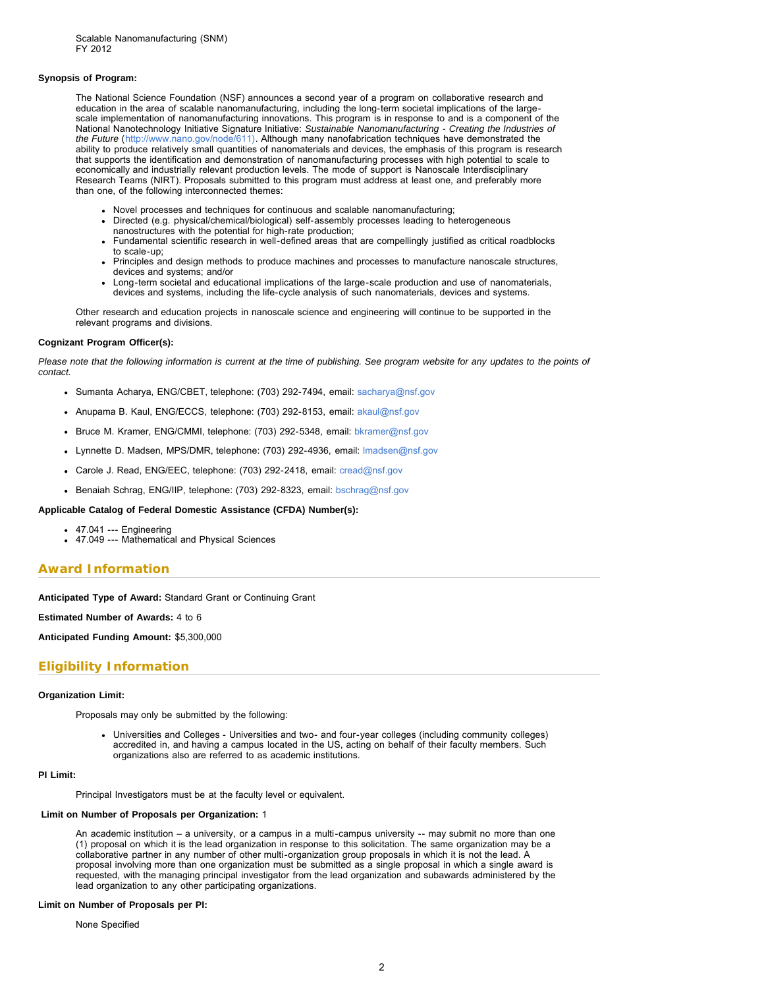#### **Synopsis of Program:**

The National Science Foundation (NSF) announces a second year of a program on collaborative research and education in the area of scalable nanomanufacturing, including the long-term societal implications of the largescale implementation of nanomanufacturing innovations. This program is in response to and is a component of the National Nanotechnology Initiative Signature Initiative: *Sustainable Nanomanufacturing - Creating the Industries of the Future* ([http://www.nano.gov/node/611\).](http://www.nano.gov/node/611) Although many nanofabrication techniques have demonstrated the ability to produce relatively small quantities of nanomaterials and devices, the emphasis of this program is research that supports the identification and demonstration of nanomanufacturing processes with high potential to scale to economically and industrially relevant production levels. The mode of support is Nanoscale Interdisciplinary Research Teams (NIRT). Proposals submitted to this program must address at least one, and preferably more than one, of the following interconnected themes:

- Novel processes and techniques for continuous and scalable nanomanufacturing;
- Directed (e.g. physical/chemical/biological) self-assembly processes leading to heterogeneous nanostructures with the potential for high-rate production;
- Fundamental scientific research in well-defined areas that are compellingly justified as critical roadblocks to scale-up;
- Principles and design methods to produce machines and processes to manufacture nanoscale structures, devices and systems; and/or
- Long-term societal and educational implications of the large-scale production and use of nanomaterials, devices and systems, including the life-cycle analysis of such nanomaterials, devices and systems.

Other research and education projects in nanoscale science and engineering will continue to be supported in the relevant programs and divisions.

## **Cognizant Program Officer(s):**

*Please note that the following information is current at the time of publishing. See program website for any updates to the points of contact.*

- Sumanta Acharya, ENG/CBET, telephone: (703) 292-7494, email: [sacharya@nsf.gov](mailto:sacharya@nsf.gov)
- Anupama B. Kaul, ENG/ECCS, telephone: (703) 292-8153, email: [akaul@nsf.gov](mailto:akaul@nsf.gov)
- Bruce M. Kramer, ENG/CMMI, telephone: (703) 292-5348, email: [bkramer@nsf.gov](mailto:bkramer@nsf.gov)
- Lynnette D. Madsen, MPS/DMR, telephone: (703) 292-4936, email: [lmadsen@nsf.gov](mailto:lmadsen@nsf.gov)
- Carole J. Read, ENG/EEC, telephone: (703) 292-2418, email: [cread@nsf.gov](mailto:cread@nsf.gov)
- Benaiah Schrag, ENG/IIP, telephone: (703) 292-8323, email: [bschrag@nsf.gov](mailto:bschrag@nsf.gov)

## **Applicable Catalog of Federal Domestic Assistance (CFDA) Number(s):**

- 47.041 --- Engineering
- 47.049 --- Mathematical and Physical Sciences

## **Award Information**

**Anticipated Type of Award:** Standard Grant or Continuing Grant

#### **Estimated Number of Awards:** 4 to 6

**Anticipated Funding Amount:** \$5,300,000

## **Eligibility Information**

#### **Organization Limit:**

Proposals may only be submitted by the following:

Universities and Colleges - Universities and two- and four-year colleges (including community colleges) accredited in, and having a campus located in the US, acting on behalf of their faculty members. Such organizations also are referred to as academic institutions.

#### **PI Limit:**

Principal Investigators must be at the faculty level or equivalent.

#### **Limit on Number of Proposals per Organization:** 1

An academic institution – a university, or a campus in a multi-campus university -- may submit no more than one (1) proposal on which it is the lead organization in response to this solicitation. The same organization may be a collaborative partner in any number of other multi-organization group proposals in which it is not the lead. A proposal involving more than one organization must be submitted as a single proposal in which a single award is requested, with the managing principal investigator from the lead organization and subawards administered by the lead organization to any other participating organizations.

#### **Limit on Number of Proposals per PI:**

None Specified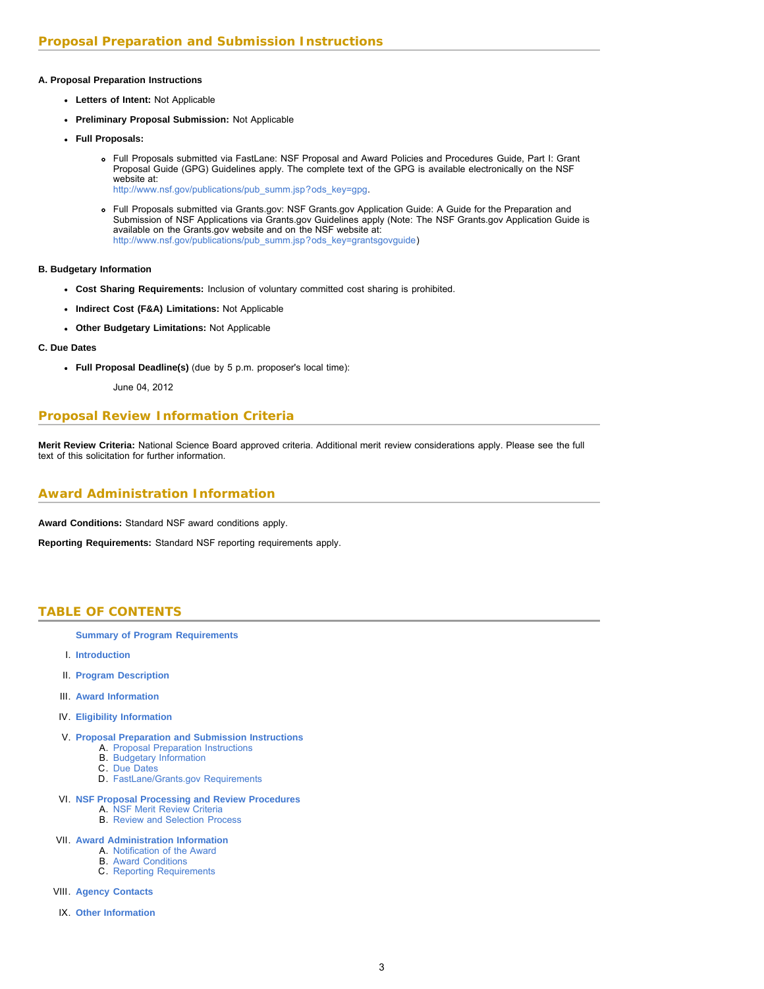## **A. Proposal Preparation Instructions**

- **Letters of Intent:** Not Applicable
- **Preliminary Proposal Submission:** Not Applicable
- **Full Proposals:**
	- Full Proposals submitted via FastLane: NSF Proposal and Award Policies and Procedures Guide, Part I: Grant Proposal Guide (GPG) Guidelines apply. The complete text of the GPG is available electronically on the NSF website at: [http://www.nsf.gov/publications/pub\\_summ.jsp?ods\\_key=gpg.](http://www.nsf.gov/publications/pub_summ.jsp?ods_key=gpg)
	- Full Proposals submitted via Grants.gov: NSF Grants.gov Application Guide: A Guide for the Preparation and Submission of NSF Applications via Grants.gov Guidelines apply (Note: The NSF Grants.gov Application Guide is available on the Grants.gov website and on the NSF website at: [http://www.nsf.gov/publications/pub\\_summ.jsp?ods\\_key=grantsgovguide\)](http://www.nsf.gov/publications/pub_summ.jsp?ods_key=grantsgovguide)

**B. Budgetary Information**

- **Cost Sharing Requirements:** Inclusion of voluntary committed cost sharing is prohibited.
- **Indirect Cost (F&A) Limitations:** Not Applicable
- **Other Budgetary Limitations:** Not Applicable
- **C. Due Dates**
	- **Full Proposal Deadline(s)** (due by 5 p.m. proposer's local time):

June 04, 2012

# **Proposal Review Information Criteria**

**Merit Review Criteria:** National Science Board approved criteria. Additional merit review considerations apply. Please see the full text of this solicitation for further information.

# **Award Administration Information**

**Award Conditions:** Standard NSF award conditions apply.

<span id="page-2-0"></span>**Reporting Requirements:** Standard NSF reporting requirements apply.

# **TABLE OF CONTENTS**

- **[Summary of Program Requirements](#page-0-0)**
- I. **[Introduction](#page-3-0)**
- II. **[Program Description](#page-3-1)**
- III. **[Award Information](#page-4-0)**
- IV. **[Eligibility Information](#page-4-1)**
- V. **[Proposal Preparation and Submission Instructions](#page-4-2)**
	- A. [Proposal Preparation Instructions](#page-4-2)
	- B. [Budgetary Information](#page-5-0)
	- C. [Due Dates](#page-5-1)
	- D. [FastLane/Grants.gov Requirements](#page-5-2)
- VI. **[NSF Proposal Processing and Review Procedures](#page-6-0)**
	- A. [NSF Merit Review Criteria](#page-6-0)
	- B. [Review and Selection Process](#page-6-1)
- VII. **[Award Administration Information](#page-7-0)**
	- A. [Notification of the Award](#page-7-1)
		- B. [Award Conditions](#page-7-2)
	- C. [Reporting Requirements](#page-7-3)
- VIII. **[Agency Contacts](#page-7-4)**
- IX. **[Other Information](#page-8-0)**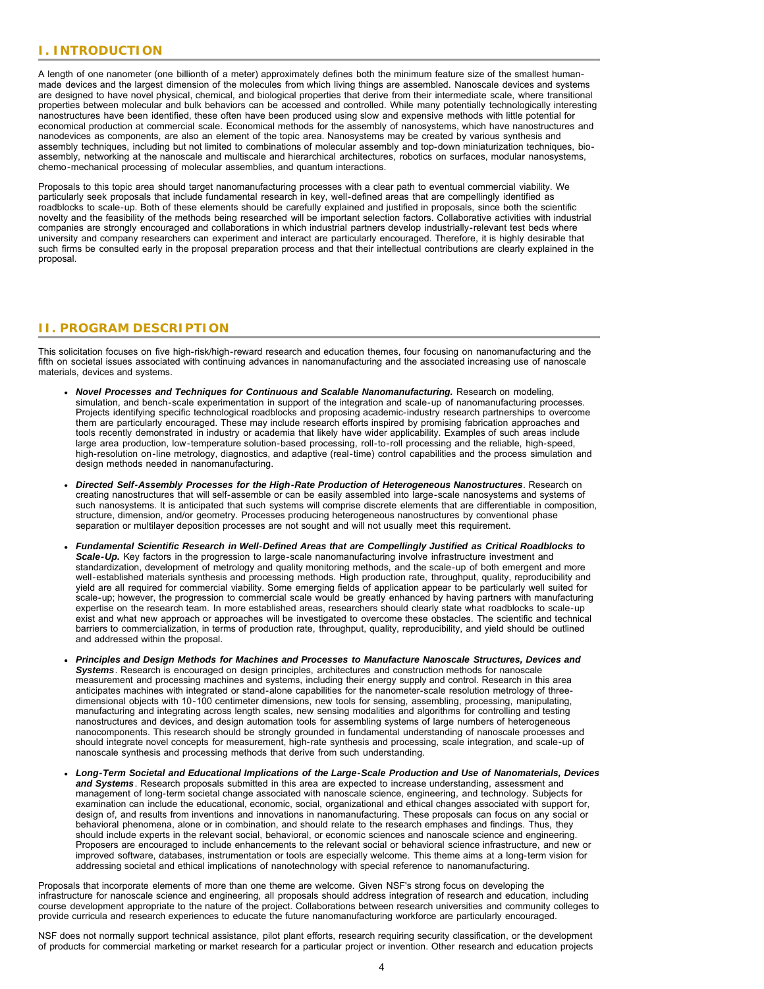# <span id="page-3-0"></span>**I. INTRODUCTION**

A length of one nanometer (one billionth of a meter) approximately defines both the minimum feature size of the smallest humanmade devices and the largest dimension of the molecules from which living things are assembled. Nanoscale devices and systems are designed to have novel physical, chemical, and biological properties that derive from their intermediate scale, where transitional properties between molecular and bulk behaviors can be accessed and controlled. While many potentially technologically interesting nanostructures have been identified, these often have been produced using slow and expensive methods with little potential for economical production at commercial scale. Economical methods for the assembly of nanosystems, which have nanostructures and nanodevices as components, are also an element of the topic area. Nanosystems may be created by various synthesis and assembly techniques, including but not limited to combinations of molecular assembly and top-down miniaturization techniques, bioassembly, networking at the nanoscale and multiscale and hierarchical architectures, robotics on surfaces, modular nanosystems, chemo-mechanical processing of molecular assemblies, and quantum interactions.

Proposals to this topic area should target nanomanufacturing processes with a clear path to eventual commercial viability. We particularly seek proposals that include fundamental research in key, well-defined areas that are compellingly identified as roadblocks to scale-up. Both of these elements should be carefully explained and justified in proposals, since both the scientific novelty and the feasibility of the methods being researched will be important selection factors. Collaborative activities with industrial companies are strongly encouraged and collaborations in which industrial partners develop industrially-relevant test beds where university and company researchers can experiment and interact are particularly encouraged. Therefore, it is highly desirable that such firms be consulted early in the proposal preparation process and that their intellectual contributions are clearly explained in the proposal.

# <span id="page-3-1"></span>**II. PROGRAM DESCRIPTION**

This solicitation focuses on five high-risk/high-reward research and education themes, four focusing on nanomanufacturing and the fifth on societal issues associated with continuing advances in nanomanufacturing and the associated increasing use of nanoscale materials, devices and systems.

- *Novel Processes and Techniques for Continuous and Scalable Nanomanufacturing.* Research on modeling, simulation, and bench-scale experimentation in support of the integration and scale-up of nanomanufacturing processes. Projects identifying specific technological roadblocks and proposing academic-industry research partnerships to overcome them are particularly encouraged. These may include research efforts inspired by promising fabrication approaches and tools recently demonstrated in industry or academia that likely have wider applicability. Examples of such areas include large area production, low-temperature solution-based processing, roll-to-roll processing and the reliable, high-speed, high-resolution on-line metrology, diagnostics, and adaptive (real-time) control capabilities and the process simulation and design methods needed in nanomanufacturing.
- *Directed Self-Assembly Processes for the High-Rate Production of Heterogeneous Nanostructures*. Research on creating nanostructures that will self-assemble or can be easily assembled into large-scale nanosystems and systems of such nanosystems. It is anticipated that such systems will comprise discrete elements that are differentiable in composition, structure, dimension, and/or geometry. Processes producing heterogeneous nanostructures by conventional phase separation or multilayer deposition processes are not sought and will not usually meet this requirement.
- *Fundamental Scientific Research in Well-Defined Areas that are Compellingly Justified as Critical Roadblocks to Scale-Up.* Key factors in the progression to large-scale nanomanufacturing involve infrastructure investment and standardization, development of metrology and quality monitoring methods, and the scale-up of both emergent and more well-established materials synthesis and processing methods. High production rate, throughput, quality, reproducibility and yield are all required for commercial viability. Some emerging fields of application appear to be particularly well suited for scale-up; however, the progression to commercial scale would be greatly enhanced by having partners with manufacturing expertise on the research team. In more established areas, researchers should clearly state what roadblocks to scale-up exist and what new approach or approaches will be investigated to overcome these obstacles. The scientific and technical barriers to commercialization, in terms of production rate, throughput, quality, reproducibility, and yield should be outlined and addressed within the proposal.
- *Principles and Design Methods for Machines and Processes to Manufacture Nanoscale Structures, Devices and Systems*. Research is encouraged on design principles, architectures and construction methods for nanoscale measurement and processing machines and systems, including their energy supply and control. Research in this area anticipates machines with integrated or stand-alone capabilities for the nanometer-scale resolution metrology of threedimensional objects with 10-100 centimeter dimensions, new tools for sensing, assembling, processing, manipulating, manufacturing and integrating across length scales, new sensing modalities and algorithms for controlling and testing nanostructures and devices, and design automation tools for assembling systems of large numbers of heterogeneous nanocomponents. This research should be strongly grounded in fundamental understanding of nanoscale processes and should integrate novel concepts for measurement, high-rate synthesis and processing, scale integration, and scale-up of nanoscale synthesis and processing methods that derive from such understanding.
- *Long-Term Societal and Educational Implications of the Large-Scale Production and Use of Nanomaterials, Devices and Systems*. Research proposals submitted in this area are expected to increase understanding, assessment and management of long-term societal change associated with nanoscale science, engineering, and technology. Subjects for examination can include the educational, economic, social, organizational and ethical changes associated with support for, design of, and results from inventions and innovations in nanomanufacturing. These proposals can focus on any social or behavioral phenomena, alone or in combination, and should relate to the research emphases and findings. Thus, they should include experts in the relevant social, behavioral, or economic sciences and nanoscale science and engineering. Proposers are encouraged to include enhancements to the relevant social or behavioral science infrastructure, and new or improved software, databases, instrumentation or tools are especially welcome. This theme aims at a long-term vision for addressing societal and ethical implications of nanotechnology with special reference to nanomanufacturing.

Proposals that incorporate elements of more than one theme are welcome. Given NSF's strong focus on developing the infrastructure for nanoscale science and engineering, all proposals should address integration of research and education, including course development appropriate to the nature of the project. Collaborations between research universities and community colleges to provide curricula and research experiences to educate the future nanomanufacturing workforce are particularly encouraged.

NSF does not normally support technical assistance, pilot plant efforts, research requiring security classification, or the development of products for commercial marketing or market research for a particular project or invention. Other research and education projects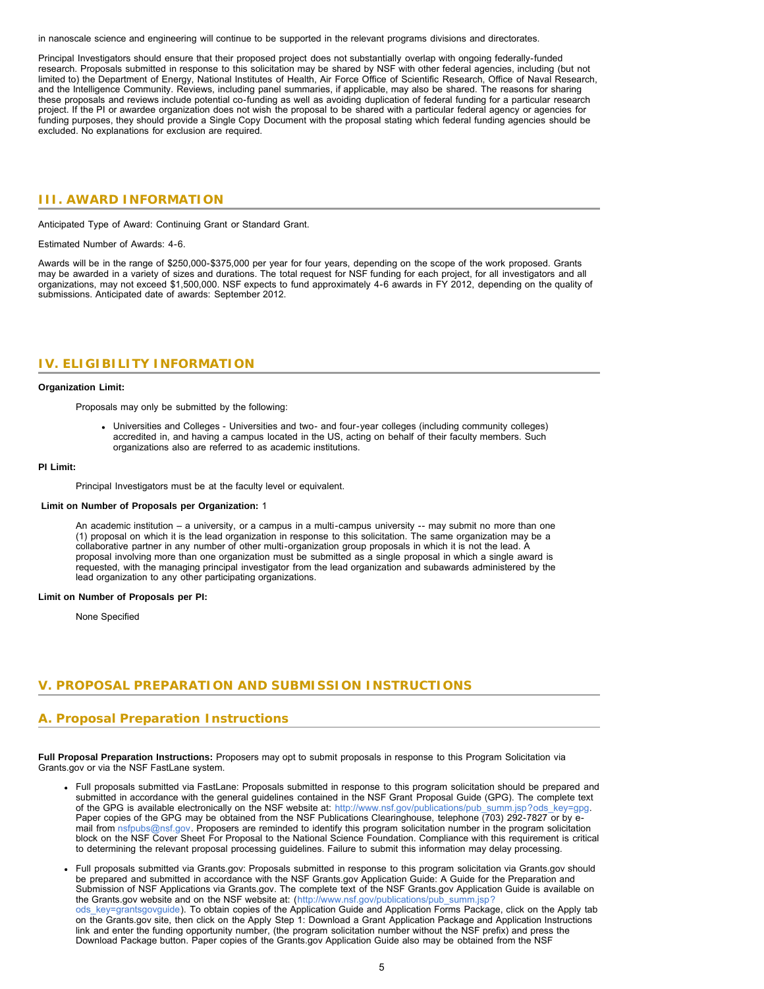in nanoscale science and engineering will continue to be supported in the relevant programs divisions and directorates.

Principal Investigators should ensure that their proposed project does not substantially overlap with ongoing federally-funded research. Proposals submitted in response to this solicitation may be shared by NSF with other federal agencies, including (but not limited to) the Department of Energy, National Institutes of Health, Air Force Office of Scientific Research, Office of Naval Research, and the Intelligence Community. Reviews, including panel summaries, if applicable, may also be shared. The reasons for sharing these proposals and reviews include potential co-funding as well as avoiding duplication of federal funding for a particular research project. If the PI or awardee organization does not wish the proposal to be shared with a particular federal agency or agencies for funding purposes, they should provide a Single Copy Document with the proposal stating which federal funding agencies should be excluded. No explanations for exclusion are required.

## <span id="page-4-0"></span>**III. AWARD INFORMATION**

Anticipated Type of Award: Continuing Grant or Standard Grant.

Estimated Number of Awards: 4-6.

Awards will be in the range of \$250,000-\$375,000 per year for four years, depending on the scope of the work proposed. Grants may be awarded in a variety of sizes and durations. The total request for NSF funding for each project, for all investigators and all organizations, may not exceed \$1,500,000. NSF expects to fund approximately 4-6 awards in FY 2012, depending on the quality of submissions. Anticipated date of awards: September 2012.

## <span id="page-4-1"></span>**IV. ELIGIBILITY INFORMATION**

#### **Organization Limit:**

Proposals may only be submitted by the following:

Universities and Colleges - Universities and two- and four-year colleges (including community colleges) accredited in, and having a campus located in the US, acting on behalf of their faculty members. Such organizations also are referred to as academic institutions.

#### **PI Limit:**

Principal Investigators must be at the faculty level or equivalent.

#### **Limit on Number of Proposals per Organization:** 1

An academic institution – a university, or a campus in a multi-campus university -- may submit no more than one (1) proposal on which it is the lead organization in response to this solicitation. The same organization may be a collaborative partner in any number of other multi-organization group proposals in which it is not the lead. A proposal involving more than one organization must be submitted as a single proposal in which a single award is requested, with the managing principal investigator from the lead organization and subawards administered by the lead organization to any other participating organizations.

#### <span id="page-4-2"></span>**Limit on Number of Proposals per PI:**

None Specified

## **V. PROPOSAL PREPARATION AND SUBMISSION INSTRUCTIONS**

## **A. Proposal Preparation Instructions**

**Full Proposal Preparation Instructions:** Proposers may opt to submit proposals in response to this Program Solicitation via Grants.gov or via the NSF FastLane system.

- Full proposals submitted via FastLane: Proposals submitted in response to this program solicitation should be prepared and submitted in accordance with the general guidelines contained in the NSF Grant Proposal Guide (GPG). The complete text of the GPG is available electronically on the NSF website at: [http://www.nsf.gov/publications/pub\\_summ.jsp?ods\\_key=gpg.](http://www.nsf.gov/publications/pub_summ.jsp?ods_key=gpg) Paper copies of the GPG may be obtained from the NSF Publications Clearinghouse, telephone (703) 292-7827 or by email from [nsfpubs@nsf.gov.](mailto:nsfpubs@nsf.gov) Proposers are reminded to identify this program solicitation number in the program solicitation block on the NSF Cover Sheet For Proposal to the National Science Foundation. Compliance with this requirement is critical to determining the relevant proposal processing guidelines. Failure to submit this information may delay processing.
- Full proposals submitted via Grants.gov: Proposals submitted in response to this program solicitation via Grants.gov should be prepared and submitted in accordance with the NSF Grants.gov Application Guide: A Guide for the Preparation and Submission of NSF Applications via Grants.gov. The complete text of the NSF Grants.gov Application Guide is available on the Grants.gov website and on the NSF website at: ([http://www.nsf.gov/publications/pub\\_summ.jsp?](http://www.nsf.gov/publications/pub_summ.jsp?ods_key=grantsgovguide) ods key=grantsgovguide). To obtain copies of the Application Guide and Application Forms Package, click on the Apply tab on the Grants.gov site, then click on the Apply Step 1: Download a Grant Application Package and Application Instructions link and enter the funding opportunity number, (the program solicitation number without the NSF prefix) and press the Download Package button. Paper copies of the Grants.gov Application Guide also may be obtained from the NSF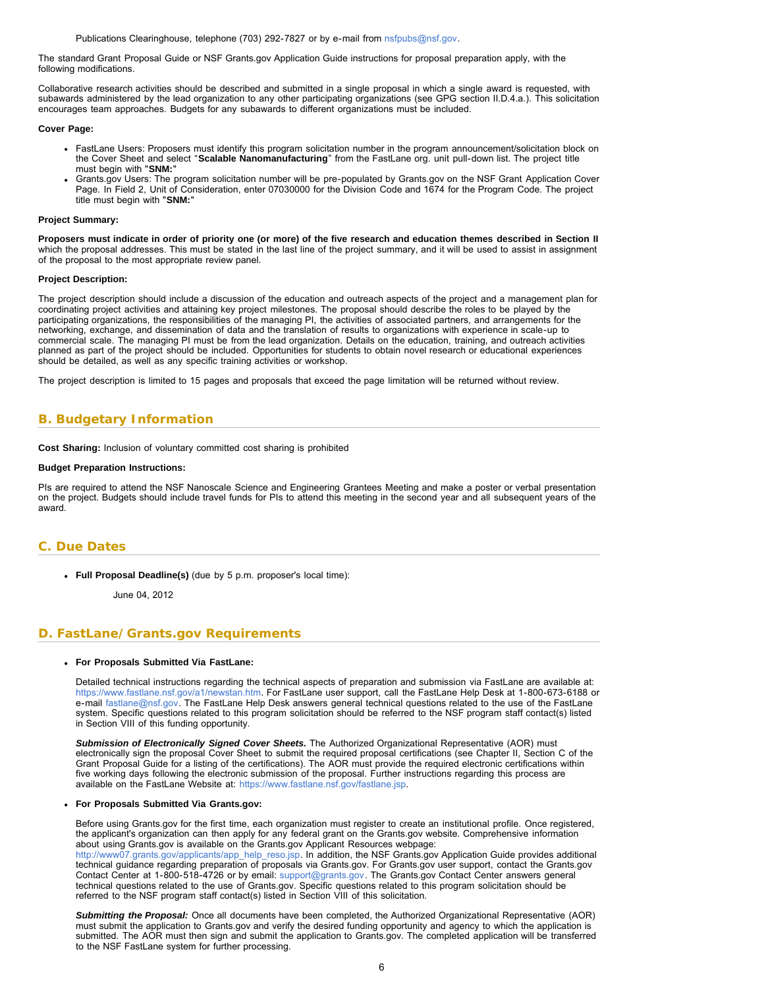Publications Clearinghouse, telephone (703) 292-7827 or by e-mail from [nsfpubs@nsf.gov.](mailto:nsfpubs@nsf.gov)

The standard Grant Proposal Guide or NSF Grants.gov Application Guide instructions for proposal preparation apply, with the following modifications.

Collaborative research activities should be described and submitted in a single proposal in which a single award is requested, with subawards administered by the lead organization to any other participating organizations (see GPG section II.D.4.a.). This solicitation encourages team approaches. Budgets for any subawards to different organizations must be included.

#### **Cover Page:**

- FastLane Users: Proposers must identify this program solicitation number in the program announcement/solicitation block on the Cover Sheet and select "**Scalable Nanomanufacturing**" from the FastLane org. unit pull-down list. The project title must begin with "**SNM:**"
- Grants.gov Users: The program solicitation number will be pre-populated by Grants.gov on the NSF Grant Application Cover Page. In Field 2, Unit of Consideration, enter 07030000 for the Division Code and 1674 for the Program Code. The project title must begin with "**SNM:**"

#### **Project Summary:**

**Proposers must indicate in order of priority one (or more) of the five research and education themes described in Section II** which the proposal addresses. This must be stated in the last line of the project summary, and it will be used to assist in assignment of the proposal to the most appropriate review panel.

#### **Project Description:**

The project description should include a discussion of the education and outreach aspects of the project and a management plan for coordinating project activities and attaining key project milestones. The proposal should describe the roles to be played by the participating organizations, the responsibilities of the managing PI, the activities of associated partners, and arrangements for the networking, exchange, and dissemination of data and the translation of results to organizations with experience in scale-up to commercial scale. The managing PI must be from the lead organization. Details on the education, training, and outreach activities planned as part of the project should be included. Opportunities for students to obtain novel research or educational experiences should be detailed, as well as any specific training activities or workshop.

The project description is limited to 15 pages and proposals that exceed the page limitation will be returned without review.

## <span id="page-5-0"></span>**B. Budgetary Information**

**Cost Sharing:** Inclusion of voluntary committed cost sharing is prohibited

#### **Budget Preparation Instructions:**

PIs are required to attend the NSF Nanoscale Science and Engineering Grantees Meeting and make a poster or verbal presentation on the project. Budgets should include travel funds for PIs to attend this meeting in the second year and all subsequent years of the award.

## <span id="page-5-1"></span>**C. Due Dates**

**Full Proposal Deadline(s)** (due by 5 p.m. proposer's local time):

June 04, 2012

## <span id="page-5-2"></span>**D. FastLane/Grants.gov Requirements**

#### **For Proposals Submitted Via FastLane:**

Detailed technical instructions regarding the technical aspects of preparation and submission via FastLane are available at: [https://www.fastlane.nsf.gov/a1/newstan.htm.](https://www.fastlane.nsf.gov/a1/newstan.htm) For FastLane user support, call the FastLane Help Desk at 1-800-673-6188 or e-mail [fastlane@nsf.gov.](mailto:fastlane@nsf.gov) The FastLane Help Desk answers general technical questions related to the use of the FastLane system. Specific questions related to this program solicitation should be referred to the NSF program staff contact(s) listed in Section VIII of this funding opportunity.

*Submission of Electronically Signed Cover Sheets.* The Authorized Organizational Representative (AOR) must electronically sign the proposal Cover Sheet to submit the required proposal certifications (see Chapter II, Section C of the Grant Proposal Guide for a listing of the certifications). The AOR must provide the required electronic certifications within five working days following the electronic submission of the proposal. Further instructions regarding this process are available on the FastLane Website at: [https://www.fastlane.nsf.gov/fastlane.jsp.](https://www.fastlane.nsf.gov/fastlane.jsp)

#### **For Proposals Submitted Via Grants.gov:**

Before using Grants.gov for the first time, each organization must register to create an institutional profile. Once registered, the applicant's organization can then apply for any federal grant on the Grants.gov website. Comprehensive information about using Grants.gov is available on the Grants.gov Applicant Resources webpage: [http://www07.grants.gov/applicants/app\\_help\\_reso.jsp.](http://www07.grants.gov/applicants/app_help_reso.jsp) In addition, the NSF Grants.gov Application Guide provides additional

technical guidance regarding preparation of proposals via Grants.gov. For Grants.gov user support, contact the Grants.gov Contact Center at 1-800-518-4726 or by email: [support@grants.gov](mailto:support@grants.gov). The Grants.gov Contact Center answers general technical questions related to the use of Grants.gov. Specific questions related to this program solicitation should be referred to the NSF program staff contact(s) listed in Section VIII of this solicitation.

*Submitting the Proposal:* Once all documents have been completed, the Authorized Organizational Representative (AOR) must submit the application to Grants.gov and verify the desired funding opportunity and agency to which the application is submitted. The AOR must then sign and submit the application to Grants.gov. The completed application will be transferred to the NSF FastLane system for further processing.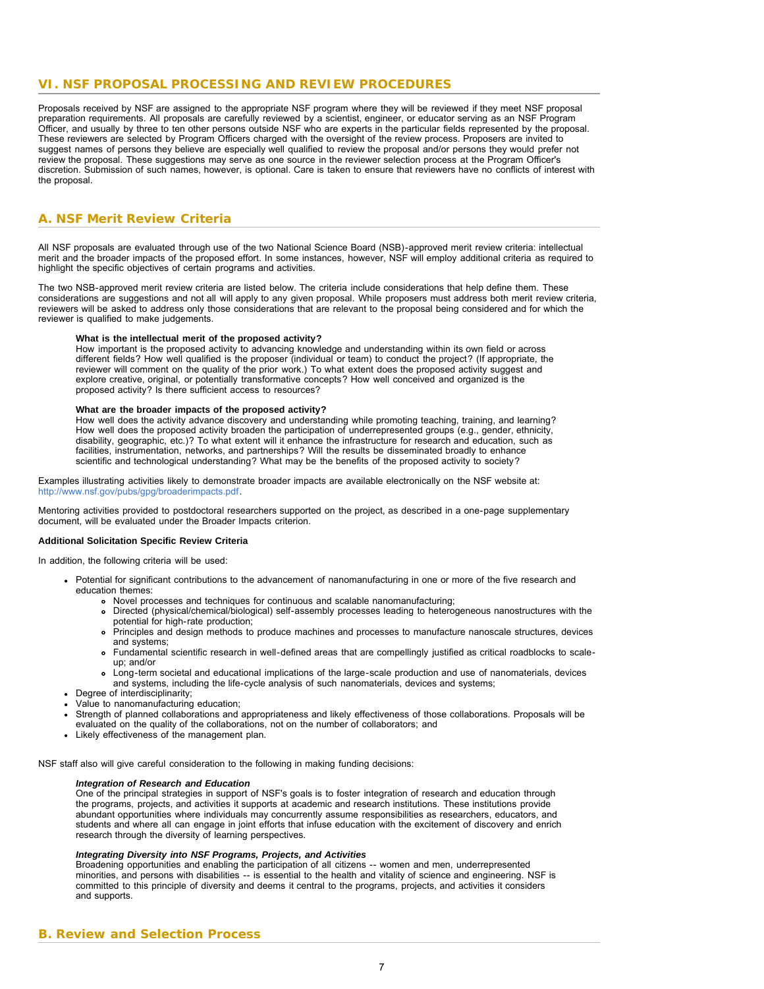## <span id="page-6-0"></span>**VI. NSF PROPOSAL PROCESSING AND REVIEW PROCEDURES**

Proposals received by NSF are assigned to the appropriate NSF program where they will be reviewed if they meet NSF proposal preparation requirements. All proposals are carefully reviewed by a scientist, engineer, or educator serving as an NSF Program Officer, and usually by three to ten other persons outside NSF who are experts in the particular fields represented by the proposal. These reviewers are selected by Program Officers charged with the oversight of the review process. Proposers are invited to suggest names of persons they believe are especially well qualified to review the proposal and/or persons they would prefer not review the proposal. These suggestions may serve as one source in the reviewer selection process at the Program Officer's discretion. Submission of such names, however, is optional. Care is taken to ensure that reviewers have no conflicts of interest with the proposal.

# **A. NSF Merit Review Criteria**

All NSF proposals are evaluated through use of the two National Science Board (NSB)-approved merit review criteria: intellectual merit and the broader impacts of the proposed effort. In some instances, however, NSF will employ additional criteria as required to highlight the specific objectives of certain programs and activities.

The two NSB-approved merit review criteria are listed below. The criteria include considerations that help define them. These considerations are suggestions and not all will apply to any given proposal. While proposers must address both merit review criteria, reviewers will be asked to address only those considerations that are relevant to the proposal being considered and for which the reviewer is qualified to make judgements.

#### **What is the intellectual merit of the proposed activity?**

How important is the proposed activity to advancing knowledge and understanding within its own field or across different fields? How well qualified is the proposer (individual or team) to conduct the project? (If appropriate, the reviewer will comment on the quality of the prior work.) To what extent does the proposed activity suggest and explore creative, original, or potentially transformative concepts? How well conceived and organized is the proposed activity? Is there sufficient access to resources?

## **What are the broader impacts of the proposed activity?**

How well does the activity advance discovery and understanding while promoting teaching, training, and learning? How well does the proposed activity broaden the participation of underrepresented groups (e.g., gender, ethnicity, disability, geographic, etc.)? To what extent will it enhance the infrastructure for research and education, such as facilities, instrumentation, networks, and partnerships? Will the results be disseminated broadly to enhance scientific and technological understanding? What may be the benefits of the proposed activity to society?

Examples illustrating activities likely to demonstrate broader impacts are available electronically on the NSF website at: <http://www.nsf.gov/pubs/gpg/broaderimpacts.pdf>.

Mentoring activities provided to postdoctoral researchers supported on the project, as described in a one-page supplementary document, will be evaluated under the Broader Impacts criterion.

#### **Additional Solicitation Specific Review Criteria**

In addition, the following criteria will be used:

- Potential for significant contributions to the advancement of nanomanufacturing in one or more of the five research and education themes:
	- Novel processes and techniques for continuous and scalable nanomanufacturing;
	- Directed (physical/chemical/biological) self-assembly processes leading to heterogeneous nanostructures with the potential for high-rate production;
	- Principles and design methods to produce machines and processes to manufacture nanoscale structures, devices and systems;
	- Fundamental scientific research in well-defined areas that are compellingly justified as critical roadblocks to scaleup; and/or
	- Long-term societal and educational implications of the large-scale production and use of nanomaterials, devices and systems, including the life-cycle analysis of such nanomaterials, devices and systems;
- Degree of interdisciplinarity;
- Value to nanomanufacturing education;
- Strength of planned collaborations and appropriateness and likely effectiveness of those collaborations. Proposals will be
- evaluated on the quality of the collaborations, not on the number of collaborators; and
- Likely effectiveness of the management plan.

NSF staff also will give careful consideration to the following in making funding decisions:

#### *Integration of Research and Education*

One of the principal strategies in support of NSF's goals is to foster integration of research and education through the programs, projects, and activities it supports at academic and research institutions. These institutions provide abundant opportunities where individuals may concurrently assume responsibilities as researchers, educators, and students and where all can engage in joint efforts that infuse education with the excitement of discovery and enrich research through the diversity of learning perspectives.

## *Integrating Diversity into NSF Programs, Projects, and Activities*

<span id="page-6-1"></span>Broadening opportunities and enabling the participation of all citizens -- women and men, underrepresented minorities, and persons with disabilities -- is essential to the health and vitality of science and engineering. NSF is committed to this principle of diversity and deems it central to the programs, projects, and activities it considers and supports.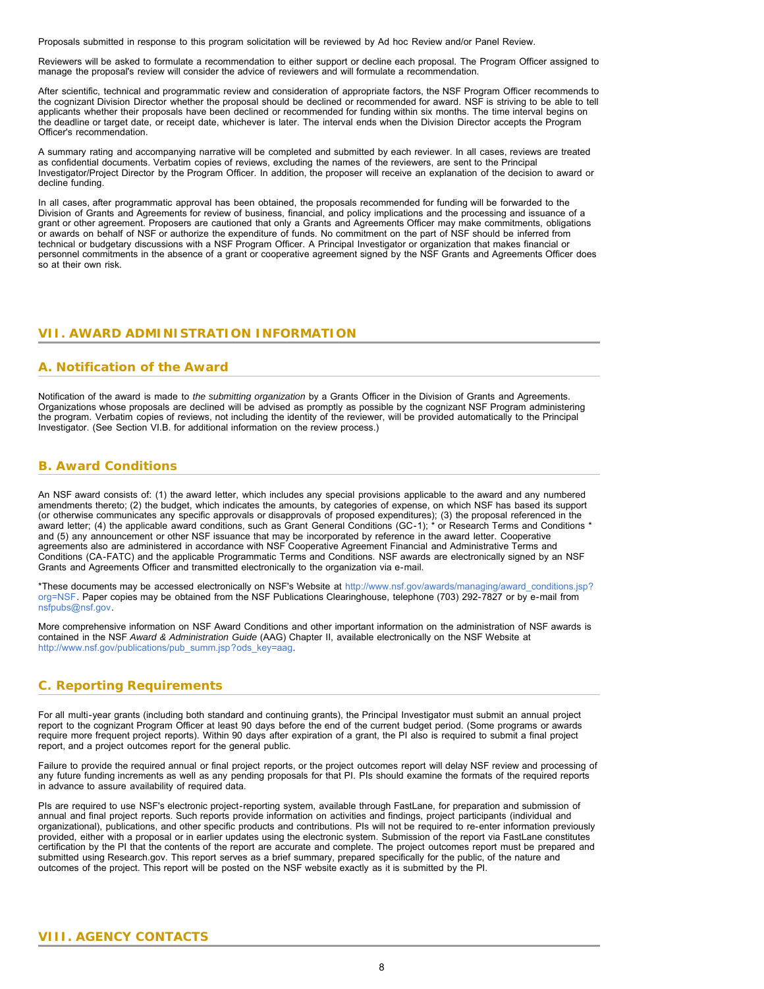Proposals submitted in response to this program solicitation will be reviewed by Ad hoc Review and/or Panel Review.

Reviewers will be asked to formulate a recommendation to either support or decline each proposal. The Program Officer assigned to manage the proposal's review will consider the advice of reviewers and will formulate a recommendation.

After scientific, technical and programmatic review and consideration of appropriate factors, the NSF Program Officer recommends to the cognizant Division Director whether the proposal should be declined or recommended for award. NSF is striving to be able to tell applicants whether their proposals have been declined or recommended for funding within six months. The time interval begins on the deadline or target date, or receipt date, whichever is later. The interval ends when the Division Director accepts the Program Officer's recommendation.

A summary rating and accompanying narrative will be completed and submitted by each reviewer. In all cases, reviews are treated as confidential documents. Verbatim copies of reviews, excluding the names of the reviewers, are sent to the Principal Investigator/Project Director by the Program Officer. In addition, the proposer will receive an explanation of the decision to award or decline funding.

In all cases, after programmatic approval has been obtained, the proposals recommended for funding will be forwarded to the Division of Grants and Agreements for review of business, financial, and policy implications and the processing and issuance of a grant or other agreement. Proposers are cautioned that only a Grants and Agreements Officer may make commitments, obligations or awards on behalf of NSF or authorize the expenditure of funds. No commitment on the part of NSF should be inferred from technical or budgetary discussions with a NSF Program Officer. A Principal Investigator or organization that makes financial or personnel commitments in the absence of a grant or cooperative agreement signed by the NSF Grants and Agreements Officer does so at their own risk.

# <span id="page-7-0"></span>**VII. AWARD ADMINISTRATION INFORMATION**

# <span id="page-7-1"></span>**A. Notification of the Award**

Notification of the award is made to *the submitting organization* by a Grants Officer in the Division of Grants and Agreements. Organizations whose proposals are declined will be advised as promptly as possible by the cognizant NSF Program administering the program. Verbatim copies of reviews, not including the identity of the reviewer, will be provided automatically to the Principal Investigator. (See Section VI.B. for additional information on the review process.)

# <span id="page-7-2"></span>**B. Award Conditions**

An NSF award consists of: (1) the award letter, which includes any special provisions applicable to the award and any numbered amendments thereto; (2) the budget, which indicates the amounts, by categories of expense, on which NSF has based its support (or otherwise communicates any specific approvals or disapprovals of proposed expenditures); (3) the proposal referenced in the award letter; (4) the applicable award conditions, such as Grant General Conditions (GC-1); \* or Research Terms and Conditions \* and (5) any announcement or other NSF issuance that may be incorporated by reference in the award letter. Cooperative agreements also are administered in accordance with NSF Cooperative Agreement Financial and Administrative Terms and Conditions (CA-FATC) and the applicable Programmatic Terms and Conditions. NSF awards are electronically signed by an NSF Grants and Agreements Officer and transmitted electronically to the organization via e-mail.

\*These documents may be accessed electronically on NSF's Website at [http://www.nsf.gov/awards/managing/award\\_conditions.jsp?](http://www.nsf.gov/awards/managing/award_conditions.jsp?org=NSF) [org=NSF.](http://www.nsf.gov/awards/managing/award_conditions.jsp?org=NSF) Paper copies may be obtained from the NSF Publications Clearinghouse, telephone (703) 292-7827 or by e-mail from [nsfpubs@nsf.gov.](mailto:nsfpubs@nsf.gov)

More comprehensive information on NSF Award Conditions and other important information on the administration of NSF awards is contained in the NSF *Award & Administration Guide* (AAG) Chapter II, available electronically on the NSF Website at [http://www.nsf.gov/publications/pub\\_summ.jsp?ods\\_key=aag.](http://www.nsf.gov/publications/pub_summ.jsp?ods_key=aag)

# <span id="page-7-3"></span>**C. Reporting Requirements**

For all multi-year grants (including both standard and continuing grants), the Principal Investigator must submit an annual project report to the cognizant Program Officer at least 90 days before the end of the current budget period. (Some programs or awards require more frequent project reports). Within 90 days after expiration of a grant, the PI also is required to submit a final project report, and a project outcomes report for the general public.

Failure to provide the required annual or final project reports, or the project outcomes report will delay NSF review and processing of any future funding increments as well as any pending proposals for that PI. PIs should examine the formats of the required reports in advance to assure availability of required data.

<span id="page-7-4"></span>PIs are required to use NSF's electronic project-reporting system, available through FastLane, for preparation and submission of annual and final project reports. Such reports provide information on activities and findings, project participants (individual and organizational), publications, and other specific products and contributions. PIs will not be required to re-enter information previously provided, either with a proposal or in earlier updates using the electronic system. Submission of the report via FastLane constitutes certification by the PI that the contents of the report are accurate and complete. The project outcomes report must be prepared and submitted using Research.gov. This report serves as a brief summary, prepared specifically for the public, of the nature and outcomes of the project. This report will be posted on the NSF website exactly as it is submitted by the PI.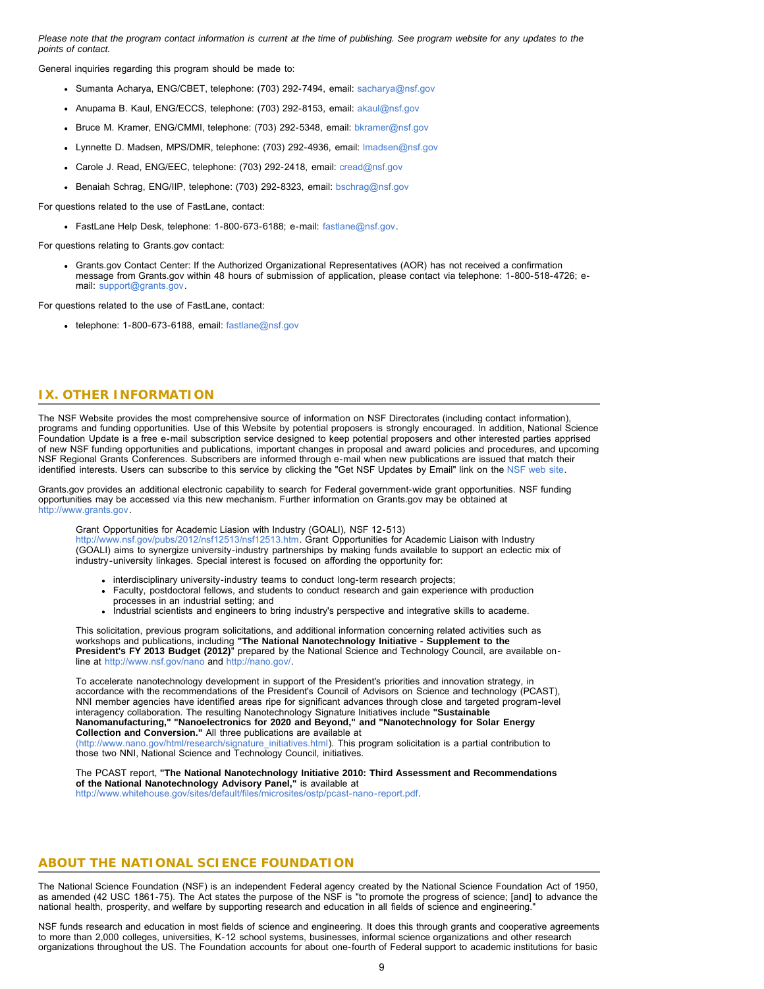*Please note that the program contact information is current at the time of publishing. See program website for any updates to the points of contact.*

General inquiries regarding this program should be made to:

- Sumanta Acharya, ENG/CBET, telephone: (703) 292-7494, email: [sacharya@nsf.gov](mailto:sacharya@nsf.gov)
- Anupama B. Kaul, ENG/ECCS, telephone: (703) 292-8153, email: [akaul@nsf.gov](mailto:akaul@nsf.gov)
- Bruce M. Kramer, ENG/CMMI, telephone: (703) 292-5348, email: [bkramer@nsf.gov](mailto:bkramer@nsf.gov)
- Lynnette D. Madsen, MPS/DMR, telephone: (703) 292-4936, email: [lmadsen@nsf.gov](mailto:lmadsen@nsf.gov)
- Carole J. Read, ENG/EEC, telephone: (703) 292-2418, email: [cread@nsf.gov](mailto:cread@nsf.gov)
- Benaiah Schrag, ENG/IIP, telephone: (703) 292-8323, email: [bschrag@nsf.gov](mailto:bschrag@nsf.gov)

For questions related to the use of FastLane, contact:

FastLane Help Desk, telephone: 1-800-673-6188; e-mail: [fastlane@nsf.gov.](mailto:fastlane@nsf.gov)

For questions relating to Grants.gov contact:

Grants.gov Contact Center: If the Authorized Organizational Representatives (AOR) has not received a confirmation message from Grants.gov within 48 hours of submission of application, please contact via telephone: 1-800-518-4726; email: [support@grants.gov.](mailto:support@grants.gov)

<span id="page-8-0"></span>For questions related to the use of FastLane, contact:

 $\cdot$  telephone: 1-800-673-6188, email: [fastlane@nsf.gov](mailto:fastlane@nsf.gov)

## **IX. OTHER INFORMATION**

The NSF Website provides the most comprehensive source of information on NSF Directorates (including contact information), programs and funding opportunities. Use of this Website by potential proposers is strongly encouraged. In addition, National Science Foundation Update is a free e-mail subscription service designed to keep potential proposers and other interested parties apprised of new NSF funding opportunities and publications, important changes in proposal and award policies and procedures, and upcoming NSF Regional Grants Conferences. Subscribers are informed through e-mail when new publications are issued that match their identified interests. Users can subscribe to this service by clicking the "Get NSF Updates by Email" link on the [NSF web site.](http://www.nsf.gov/)

Grants.gov provides an additional electronic capability to search for Federal government-wide grant opportunities. NSF funding opportunities may be accessed via this new mechanism. Further information on Grants.gov may be obtained at [http://www.grants.gov.](http://www.grants.gov/)

Grant Opportunities for Academic Liasion with Industry (GOALI), NSF 12-513) <http://www.nsf.gov/pubs/2012/nsf12513/nsf12513.htm>. Grant Opportunities for Academic Liaison with Industry (GOALI) aims to synergize university-industry partnerships by making funds available to support an eclectic mix of industry-university linkages. Special interest is focused on affording the opportunity for:

- interdisciplinary university-industry teams to conduct long-term research projects;
- Faculty, postdoctoral fellows, and students to conduct research and gain experience with production processes in an industrial setting; and
- Industrial scientists and engineers to bring industry's perspective and integrative skills to academe.

This solicitation, previous program solicitations, and additional information concerning related activities such as workshops and publications, including **"The National Nanotechnology Initiative - Supplement to the President's FY 2013 Budget (2012)**" prepared by the National Science and Technology Council, are available online at <http://www.nsf.gov/nano> and [http://nano.gov/.](http://nano.gov/)

To accelerate nanotechnology development in support of the President's priorities and innovation strategy, in accordance with the recommendations of the President's Council of Advisors on Science and technology (PCAST), NNI member agencies have identified areas ripe for significant advances through close and targeted program-level interagency collaboration. The resulting Nanotechnology Signature Initiatives include **"Sustainable Nanomanufacturing," "Nanoelectronics for 2020 and Beyond," and "Nanotechnology for Solar Energy Collection and Conversion."** All three publications are available at [\(http://www.nano.gov/html/research/signature\\_initiatives.html\)](http://www.nano.gov/html/research/signature_initiatives.html). This program solicitation is a partial contribution to those two NNI, National Science and Technology Council, initiatives.

The PCAST report, **"The National Nanotechnology Initiative 2010: Third Assessment and Recommendations of the National Nanotechnology Advisory Panel,"** is available at [http://www.whitehouse.gov/sites/default/files/microsites/ostp/pcast-nano-report.pdf.](http://www.whitehouse.gov/sites/default/files/microsites/ostp/pcast-nano-report.pdf)

## **ABOUT THE NATIONAL SCIENCE FOUNDATION**

The National Science Foundation (NSF) is an independent Federal agency created by the National Science Foundation Act of 1950, as amended (42 USC 1861-75). The Act states the purpose of the NSF is "to promote the progress of science; [and] to advance the national health, prosperity, and welfare by supporting research and education in all fields of science and engineering."

NSF funds research and education in most fields of science and engineering. It does this through grants and cooperative agreements to more than 2,000 colleges, universities, K-12 school systems, businesses, informal science organizations and other research organizations throughout the US. The Foundation accounts for about one-fourth of Federal support to academic institutions for basic